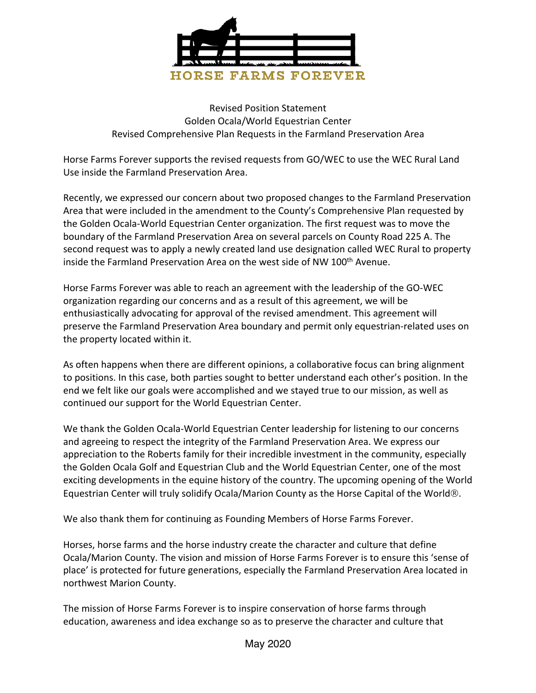

Revised Position Statement Golden Ocala/World Equestrian Center Revised Comprehensive Plan Requests in the Farmland Preservation Area

Horse Farms Forever supports the revised requests from GO/WEC to use the WEC Rural Land Use inside the Farmland Preservation Area.

Recently, we expressed our concern about two proposed changes to the Farmland Preservation Area that were included in the amendment to the County's Comprehensive Plan requested by the Golden Ocala-World Equestrian Center organization. The first request was to move the boundary of the Farmland Preservation Area on several parcels on County Road 225 A. The second request was to apply a newly created land use designation called WEC Rural to property inside the Farmland Preservation Area on the west side of NW 100<sup>th</sup> Avenue.

Horse Farms Forever was able to reach an agreement with the leadership of the GO-WEC organization regarding our concerns and as a result of this agreement, we will be enthusiastically advocating for approval of the revised amendment. This agreement will preserve the Farmland Preservation Area boundary and permit only equestrian-related uses on the property located within it.

As often happens when there are different opinions, a collaborative focus can bring alignment to positions. In this case, both parties sought to better understand each other's position. In the end we felt like our goals were accomplished and we stayed true to our mission, as well as continued our support for the World Equestrian Center.

We thank the Golden Ocala-World Equestrian Center leadership for listening to our concerns and agreeing to respect the integrity of the Farmland Preservation Area. We express our appreciation to the Roberts family for their incredible investment in the community, especially the Golden Ocala Golf and Equestrian Club and the World Equestrian Center, one of the most exciting developments in the equine history of the country. The upcoming opening of the World Equestrian Center will truly solidify Ocala/Marion County as the Horse Capital of the World®.

We also thank them for continuing as Founding Members of Horse Farms Forever.

Horses, horse farms and the horse industry create the character and culture that define Ocala/Marion County. The vision and mission of Horse Farms Forever is to ensure this 'sense of place' is protected for future generations, especially the Farmland Preservation Area located in northwest Marion County.

The mission of Horse Farms Forever is to inspire conservation of horse farms through education, awareness and idea exchange so as to preserve the character and culture that